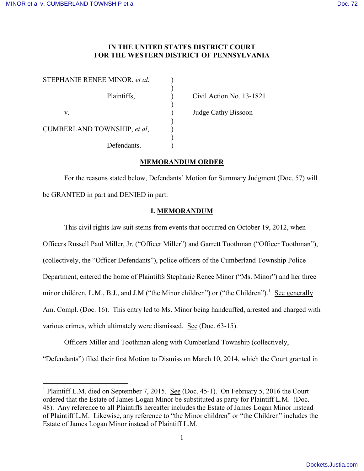## **IN THE UNITED STATES DISTRICT COURT FOR THE WESTERN DISTRICT OF PENNSYLVANIA**

| STEPHANIE RENEE MINOR, et al. |  |
|-------------------------------|--|
| Plaintiffs,                   |  |
| $V_{-}$                       |  |
| CUMBERLAND TOWNSHIP, et al,   |  |
| Defendants.                   |  |

Civil Action No. 13-1821

Judge Cathy Bissoon

# **MEMORANDUM ORDER**

For the reasons stated below, Defendants' Motion for Summary Judgment (Doc. 57) will be GRANTED in part and DENIED in part.

## **I. MEMORANDUM**

This civil rights law suit stems from events that occurred on October 19, 2012, when Officers Russell Paul Miller, Jr. ("Officer Miller") and Garrett Toothman ("Officer Toothman"), (collectively, the "Officer Defendants"), police officers of the Cumberland Township Police Department, entered the home of Plaintiffs Stephanie Renee Minor ("Ms. Minor") and her three minor children, L.M., B.J., and J.M ("the Minor children") or ("the Children").<sup>[1](#page-0-0)</sup> See generally Am. Compl. (Doc. 16). This entry led to Ms. Minor being handcuffed, arrested and charged with various crimes, which ultimately were dismissed. See (Doc. 63-15).

Officers Miller and Toothman along with Cumberland Township (collectively,

"Defendants") filed their first Motion to Dismiss on March 10, 2014, which the Court granted in

<span id="page-0-0"></span><sup>&</sup>lt;sup>1</sup> Plaintiff L.M. died on September 7, 2015. <u>See</u> (Doc. 45-1). On February 5, 2016 the Court ordered that the Estate of James Logan Minor be substituted as party for Plaintiff L.M. (Doc. 48). Any reference to all Plaintiffs hereafter includes the Estate of James Logan Minor instead of Plaintiff L.M. Likewise, any reference to "the Minor children" or "the Children" includes the Estate of James Logan Minor instead of Plaintiff L.M.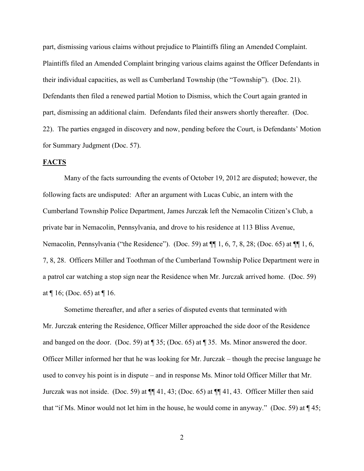part, dismissing various claims without prejudice to Plaintiffs filing an Amended Complaint. Plaintiffs filed an Amended Complaint bringing various claims against the Officer Defendants in their individual capacities, as well as Cumberland Township (the "Township"). (Doc. 21). Defendants then filed a renewed partial Motion to Dismiss, which the Court again granted in part, dismissing an additional claim. Defendants filed their answers shortly thereafter. (Doc. 22). The parties engaged in discovery and now, pending before the Court, is Defendants' Motion for Summary Judgment (Doc. 57).

### **FACTS**

 Many of the facts surrounding the events of October 19, 2012 are disputed; however, the following facts are undisputed: After an argument with Lucas Cubic, an intern with the Cumberland Township Police Department, James Jurczak left the Nemacolin Citizen's Club, a private bar in Nemacolin, Pennsylvania, and drove to his residence at 113 Bliss Avenue, Nemacolin, Pennsylvania ("the Residence"). (Doc. 59) at ¶¶ 1, 6, 7, 8, 28; (Doc. 65) at ¶¶ 1, 6, 7, 8, 28. Officers Miller and Toothman of the Cumberland Township Police Department were in a patrol car watching a stop sign near the Residence when Mr. Jurczak arrived home. (Doc. 59) at  $\P$  16; (Doc. 65) at  $\P$  16.

Sometime thereafter, and after a series of disputed events that terminated with Mr. Jurczak entering the Residence, Officer Miller approached the side door of the Residence and banged on the door. (Doc. 59) at ¶ 35; (Doc. 65) at ¶ 35. Ms. Minor answered the door. Officer Miller informed her that he was looking for Mr. Jurczak – though the precise language he used to convey his point is in dispute – and in response Ms. Minor told Officer Miller that Mr. Jurczak was not inside. (Doc. 59) at ¶¶ 41, 43; (Doc. 65) at ¶¶ 41, 43. Officer Miller then said that "if Ms. Minor would not let him in the house, he would come in anyway." (Doc. 59) at ¶ 45;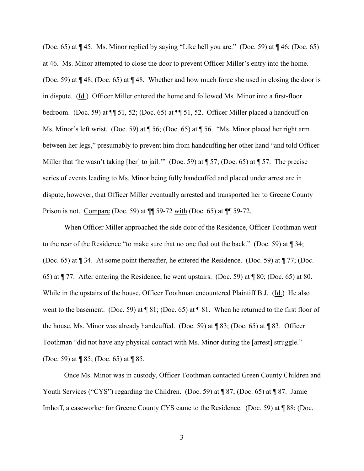(Doc. 65) at ¶ 45. Ms. Minor replied by saying "Like hell you are." (Doc. 59) at ¶ 46; (Doc. 65) at 46. Ms. Minor attempted to close the door to prevent Officer Miller's entry into the home. (Doc. 59) at ¶ 48; (Doc. 65) at ¶ 48. Whether and how much force she used in closing the door is in dispute. (Id.) Officer Miller entered the home and followed Ms. Minor into a first-floor bedroom. (Doc. 59) at ¶¶ 51, 52; (Doc. 65) at ¶¶ 51, 52. Officer Miller placed a handcuff on Ms. Minor's left wrist. (Doc. 59) at  $\P$  56; (Doc. 65) at  $\P$  56. "Ms. Minor placed her right arm between her legs," presumably to prevent him from handcuffing her other hand "and told Officer Miller that 'he wasn't taking [her] to jail.'" (Doc. 59) at ¶ 57; (Doc. 65) at ¶ 57. The precise series of events leading to Ms. Minor being fully handcuffed and placed under arrest are in dispute, however, that Officer Miller eventually arrested and transported her to Greene County Prison is not. Compare (Doc. 59) at ¶¶ 59-72 with (Doc. 65) at ¶¶ 59-72.

When Officer Miller approached the side door of the Residence, Officer Toothman went to the rear of the Residence "to make sure that no one fled out the back." (Doc. 59) at ¶ 34; (Doc. 65) at ¶ 34. At some point thereafter, he entered the Residence. (Doc. 59) at ¶ 77; (Doc. 65) at ¶ 77. After entering the Residence, he went upstairs. (Doc. 59) at ¶ 80; (Doc. 65) at 80. While in the upstairs of the house, Officer Toothman encountered Plaintiff B.J. (Id.) He also went to the basement. (Doc. 59) at ¶ 81; (Doc. 65) at ¶ 81. When he returned to the first floor of the house, Ms. Minor was already handcuffed. (Doc. 59) at ¶ 83; (Doc. 65) at ¶ 83. Officer Toothman "did not have any physical contact with Ms. Minor during the [arrest] struggle." (Doc. 59) at ¶ 85; (Doc. 65) at ¶ 85.

Once Ms. Minor was in custody, Officer Toothman contacted Green County Children and Youth Services ("CYS") regarding the Children. (Doc. 59) at ¶ 87; (Doc. 65) at ¶ 87. Jamie Imhoff, a caseworker for Greene County CYS came to the Residence. (Doc. 59) at ¶ 88; (Doc.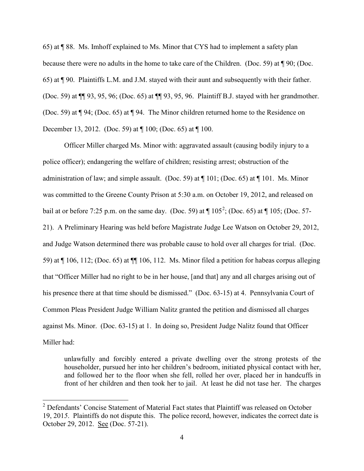65) at ¶ 88. Ms. Imhoff explained to Ms. Minor that CYS had to implement a safety plan because there were no adults in the home to take care of the Children. (Doc. 59) at ¶ 90; (Doc. 65) at ¶ 90. Plaintiffs L.M. and J.M. stayed with their aunt and subsequently with their father. (Doc. 59) at ¶¶ 93, 95, 96; (Doc. 65) at ¶¶ 93, 95, 96. Plaintiff B.J. stayed with her grandmother. (Doc. 59) at ¶ 94; (Doc. 65) at ¶ 94. The Minor children returned home to the Residence on December 13, 2012. (Doc. 59) at ¶ 100; (Doc. 65) at ¶ 100.

Officer Miller charged Ms. Minor with: aggravated assault (causing bodily injury to a police officer); endangering the welfare of children; resisting arrest; obstruction of the administration of law; and simple assault. (Doc. 59) at  $\P$  101; (Doc. 65) at  $\P$  101. Ms. Minor was committed to the Greene County Prison at 5:30 a.m. on October 19, 2012, and released on bail at or before 7:[2](#page-3-0)5 p.m. on the same day. (Doc. 59) at  $\P$  105<sup>2</sup>; (Doc. 65) at  $\P$  105; (Doc. 57-21). A Preliminary Hearing was held before Magistrate Judge Lee Watson on October 29, 2012, and Judge Watson determined there was probable cause to hold over all charges for trial. (Doc. 59) at ¶ 106, 112; (Doc. 65) at ¶¶ 106, 112. Ms. Minor filed a petition for habeas corpus alleging that "Officer Miller had no right to be in her house, [and that] any and all charges arising out of his presence there at that time should be dismissed." (Doc. 63-15) at 4. Pennsylvania Court of Common Pleas President Judge William Nalitz granted the petition and dismissed all charges against Ms. Minor. (Doc. 63-15) at 1. In doing so, President Judge Nalitz found that Officer Miller had:

unlawfully and forcibly entered a private dwelling over the strong protests of the householder, pursued her into her children's bedroom, initiated physical contact with her, and followed her to the floor when she fell, rolled her over, placed her in handcuffs in front of her children and then took her to jail. At least he did not tase her. The charges

-

<span id="page-3-0"></span><sup>&</sup>lt;sup>2</sup> Defendants' Concise Statement of Material Fact states that Plaintiff was released on October 19, 201*5*. Plaintiffs do not dispute this. The police record, however, indicates the correct date is October 29, 2012. See (Doc. 57-21).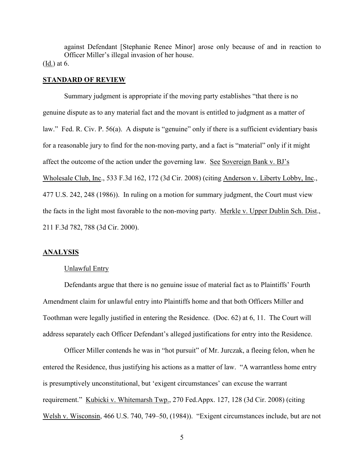against Defendant [Stephanie Renee Minor] arose only because of and in reaction to Officer Miller's illegal invasion of her house. (Id.) at 6.

### **STANDARD OF REVIEW**

Summary judgment is appropriate if the moving party establishes "that there is no genuine dispute as to any material fact and the movant is entitled to judgment as a matter of law." Fed. R. Civ. P. 56(a). A dispute is "genuine" only if there is a sufficient evidentiary basis for a reasonable jury to find for the non-moving party, and a fact is "material" only if it might affect the outcome of the action under the governing law. See Sovereign Bank v. BJ's Wholesale Club, Inc., 533 F.3d 162, 172 (3d Cir. 2008) (citing Anderson v. Liberty Lobby, Inc., 477 U.S. 242, 248 (1986)). In ruling on a motion for summary judgment, the Court must view the facts in the light most favorable to the non-moving party. Merkle v. Upper Dublin Sch. Dist., 211 F.3d 782, 788 (3d Cir. 2000).

### **ANALYSIS**

### Unlawful Entry

Defendants argue that there is no genuine issue of material fact as to Plaintiffs' Fourth Amendment claim for unlawful entry into Plaintiffs home and that both Officers Miller and Toothman were legally justified in entering the Residence. (Doc. 62) at 6, 11. The Court will address separately each Officer Defendant's alleged justifications for entry into the Residence.

Officer Miller contends he was in "hot pursuit" of Mr. Jurczak, a fleeing felon, when he entered the Residence, thus justifying his actions as a matter of law. "A warrantless home entry is presumptively unconstitutional, but 'exigent circumstances' can excuse the warrant requirement." Kubicki v. Whitemarsh Twp., 270 Fed.Appx. 127, 128 (3d Cir. 2008) (citing Welsh v. Wisconsin, 466 U.S. 740, 749–50, (1984)). "Exigent circumstances include, but are not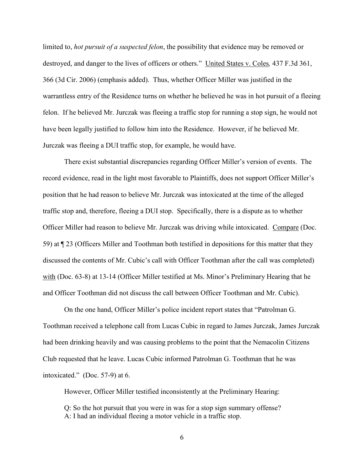limited to, *hot pursuit of a suspected felon*, the possibility that evidence may be removed or destroyed, and danger to the lives of officers or others." United States v. Coles*,* 437 F.3d 361, 366 (3d Cir. 2006) (emphasis added). Thus, whether Officer Miller was justified in the warrantless entry of the Residence turns on whether he believed he was in hot pursuit of a fleeing felon. If he believed Mr. Jurczak was fleeing a traffic stop for running a stop sign, he would not have been legally justified to follow him into the Residence. However, if he believed Mr. Jurczak was fleeing a DUI traffic stop, for example, he would have.

There exist substantial discrepancies regarding Officer Miller's version of events. The record evidence, read in the light most favorable to Plaintiffs, does not support Officer Miller's position that he had reason to believe Mr. Jurczak was intoxicated at the time of the alleged traffic stop and, therefore, fleeing a DUI stop. Specifically, there is a dispute as to whether Officer Miller had reason to believe Mr. Jurczak was driving while intoxicated. Compare (Doc. 59) at ¶ 23 (Officers Miller and Toothman both testified in depositions for this matter that they discussed the contents of Mr. Cubic's call with Officer Toothman after the call was completed) with (Doc. 63-8) at 13-14 (Officer Miller testified at Ms. Minor's Preliminary Hearing that he and Officer Toothman did not discuss the call between Officer Toothman and Mr. Cubic).

On the one hand, Officer Miller's police incident report states that "Patrolman G. Toothman received a telephone call from Lucas Cubic in regard to James Jurczak, James Jurczak had been drinking heavily and was causing problems to the point that the Nemacolin Citizens Club requested that he leave. Lucas Cubic informed Patrolman G. Toothman that he was intoxicated." (Doc. 57-9) at 6.

However, Officer Miller testified inconsistently at the Preliminary Hearing:

Q: So the hot pursuit that you were in was for a stop sign summary offense? A: I had an individual fleeing a motor vehicle in a traffic stop.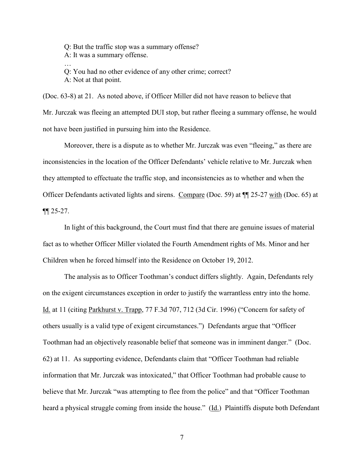Q: But the traffic stop was a summary offense? A: It was a summary offense. …

Q: You had no other evidence of any other crime; correct? A: Not at that point.

(Doc. 63-8) at 21. As noted above, if Officer Miller did not have reason to believe that Mr. Jurczak was fleeing an attempted DUI stop, but rather fleeing a summary offense, he would not have been justified in pursuing him into the Residence.

Moreover, there is a dispute as to whether Mr. Jurczak was even "fleeing," as there are inconsistencies in the location of the Officer Defendants' vehicle relative to Mr. Jurczak when they attempted to effectuate the traffic stop, and inconsistencies as to whether and when the Officer Defendants activated lights and sirens. Compare (Doc. 59) at ¶¶ 25-27 with (Doc. 65) at ¶¶ 25-27.

In light of this background, the Court must find that there are genuine issues of material fact as to whether Officer Miller violated the Fourth Amendment rights of Ms. Minor and her Children when he forced himself into the Residence on October 19, 2012.

The analysis as to Officer Toothman's conduct differs slightly. Again, Defendants rely on the exigent circumstances exception in order to justify the warrantless entry into the home. Id. at 11 (citing Parkhurst v. Trapp, 77 F.3d 707, 712 (3d Cir. 1996) ("Concern for safety of others usually is a valid type of exigent circumstances.") Defendants argue that "Officer Toothman had an objectively reasonable belief that someone was in imminent danger." (Doc. 62) at 11. As supporting evidence, Defendants claim that "Officer Toothman had reliable information that Mr. Jurczak was intoxicated," that Officer Toothman had probable cause to believe that Mr. Jurczak "was attempting to flee from the police" and that "Officer Toothman heard a physical struggle coming from inside the house." (Id.) Plaintiffs dispute both Defendant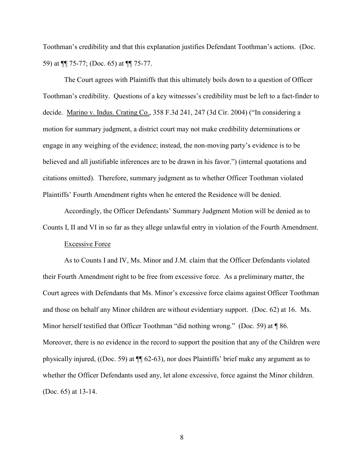Toothman's credibility and that this explanation justifies Defendant Toothman's actions. (Doc. 59) at ¶¶ 75-77; (Doc. 65) at ¶¶ 75-77.

The Court agrees with Plaintiffs that this ultimately boils down to a question of Officer Toothman's credibility. Questions of a key witnesses's credibility must be left to a fact-finder to decide. Marino v. Indus. Crating Co., 358 F.3d 241, 247 (3d Cir. 2004) ("In considering a motion for summary judgment, a district court may not make credibility determinations or engage in any weighing of the evidence; instead, the non-moving party's evidence is to be believed and all justifiable inferences are to be drawn in his favor.") (internal quotations and citations omitted). Therefore, summary judgment as to whether Officer Toothman violated Plaintiffs' Fourth Amendment rights when he entered the Residence will be denied.

Accordingly, the Officer Defendants' Summary Judgment Motion will be denied as to Counts I, II and VI in so far as they allege unlawful entry in violation of the Fourth Amendment.

## Excessive Force

As to Counts I and IV, Ms. Minor and J.M. claim that the Officer Defendants violated their Fourth Amendment right to be free from excessive force. As a preliminary matter, the Court agrees with Defendants that Ms. Minor's excessive force claims against Officer Toothman and those on behalf any Minor children are without evidentiary support. (Doc. 62) at 16. Ms. Minor herself testified that Officer Toothman "did nothing wrong." (Doc. 59) at  $\P$  86. Moreover, there is no evidence in the record to support the position that any of the Children were physically injured, ((Doc. 59) at ¶¶ 62-63), nor does Plaintiffs' brief make any argument as to whether the Officer Defendants used any, let alone excessive, force against the Minor children. (Doc. 65) at 13-14.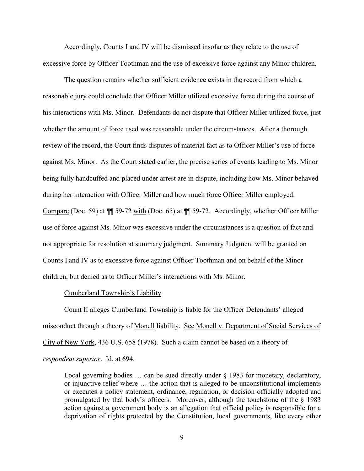Accordingly, Counts I and IV will be dismissed insofar as they relate to the use of excessive force by Officer Toothman and the use of excessive force against any Minor children.

The question remains whether sufficient evidence exists in the record from which a reasonable jury could conclude that Officer Miller utilized excessive force during the course of his interactions with Ms. Minor. Defendants do not dispute that Officer Miller utilized force, just whether the amount of force used was reasonable under the circumstances. After a thorough review of the record, the Court finds disputes of material fact as to Officer Miller's use of force against Ms. Minor. As the Court stated earlier, the precise series of events leading to Ms. Minor being fully handcuffed and placed under arrest are in dispute, including how Ms. Minor behaved during her interaction with Officer Miller and how much force Officer Miller employed. Compare (Doc. 59) at ¶¶ 59-72 with (Doc. 65) at ¶¶ 59-72. Accordingly, whether Officer Miller use of force against Ms. Minor was excessive under the circumstances is a question of fact and not appropriate for resolution at summary judgment. Summary Judgment will be granted on Counts I and IV as to excessive force against Officer Toothman and on behalf of the Minor children, but denied as to Officer Miller's interactions with Ms. Minor.

### Cumberland Township's Liability

Count II alleges Cumberland Township is liable for the Officer Defendants' alleged misconduct through a theory of Monell liability. See Monell v. Department of Social Services of City of New York, 436 U.S. 658 (1978). Such a claim cannot be based on a theory of *respondeat superior*. Id. at 694.

Local governing bodies ... can be sued directly under § 1983 for monetary, declaratory, or injunctive relief where … the action that is alleged to be unconstitutional implements or executes a policy statement, ordinance, regulation, or decision officially adopted and promulgated by that body's officers. Moreover, although the touchstone of the § 1983 action against a government body is an allegation that official policy is responsible for a deprivation of rights protected by the Constitution, local governments, like every other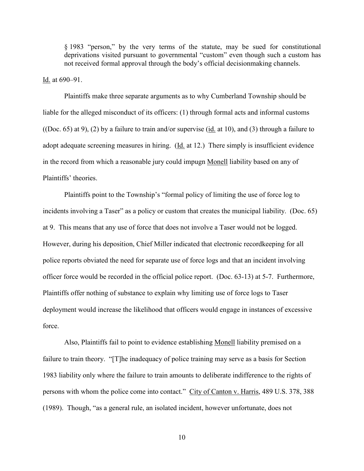§ 1983 "person," by the very terms of the statute, may be sued for constitutional deprivations visited pursuant to governmental "custom" even though such a custom has not received formal approval through the body's official decisionmaking channels.

Id. at 690–91.

Plaintiffs make three separate arguments as to why Cumberland Township should be liable for the alleged misconduct of its officers: (1) through formal acts and informal customs ((Doc. 65) at 9), (2) by a failure to train and/or supervise (id. at 10), and (3) through a failure to adopt adequate screening measures in hiring. (Id. at 12.) There simply is insufficient evidence in the record from which a reasonable jury could impugn Monell liability based on any of Plaintiffs' theories.

Plaintiffs point to the Township's "formal policy of limiting the use of force log to incidents involving a Taser" as a policy or custom that creates the municipal liability. (Doc. 65) at 9. This means that any use of force that does not involve a Taser would not be logged. However, during his deposition, Chief Miller indicated that electronic recordkeeping for all police reports obviated the need for separate use of force logs and that an incident involving officer force would be recorded in the official police report. (Doc. 63-13) at 5-7. Furthermore, Plaintiffs offer nothing of substance to explain why limiting use of force logs to Taser deployment would increase the likelihood that officers would engage in instances of excessive force.

Also, Plaintiffs fail to point to evidence establishing Monell liability premised on a failure to train theory. "[T]he inadequacy of police training may serve as a basis for Section 1983 liability only where the failure to train amounts to deliberate indifference to the rights of persons with whom the police come into contact." City of Canton v. Harris, 489 U.S. 378, 388 (1989). Though, "as a general rule, an isolated incident, however unfortunate, does not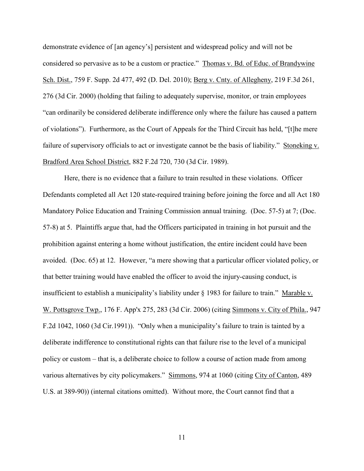demonstrate evidence of [an agency's] persistent and widespread policy and will not be considered so pervasive as to be a custom or practice." Thomas v. Bd. of Educ. of Brandywine Sch. Dist., 759 F. Supp. 2d 477, 492 (D. Del. 2010); Berg v. Cnty. of Allegheny, 219 F.3d 261, 276 (3d Cir. 2000) (holding that failing to adequately supervise, monitor, or train employees "can ordinarily be considered deliberate indifference only where the failure has caused a pattern of violations"). Furthermore, as the Court of Appeals for the Third Circuit has held, "[t]he mere failure of supervisory officials to act or investigate cannot be the basis of liability." Stoneking v. Bradford Area School District, 882 F.2d 720, 730 (3d Cir. 1989).

Here, there is no evidence that a failure to train resulted in these violations. Officer Defendants completed all Act 120 state-required training before joining the force and all Act 180 Mandatory Police Education and Training Commission annual training. (Doc. 57-5) at 7; (Doc. 57-8) at 5. Plaintiffs argue that, had the Officers participated in training in hot pursuit and the prohibition against entering a home without justification, the entire incident could have been avoided. (Doc. 65) at 12. However, "a mere showing that a particular officer violated policy, or that better training would have enabled the officer to avoid the injury-causing conduct, is insufficient to establish a municipality's liability under § 1983 for failure to train." Marable v. W. Pottsgrove Twp., 176 F. App'x 275, 283 (3d Cir. 2006) (citing Simmons v. City of Phila., 947 F.2d 1042, 1060 (3d Cir.1991)). "Only when a municipality's failure to train is tainted by a deliberate indifference to constitutional rights can that failure rise to the level of a municipal policy or custom – that is, a deliberate choice to follow a course of action made from among various alternatives by city policymakers." Simmons, 974 at 1060 (citing City of Canton, 489 U.S. at 389-90)) (internal citations omitted). Without more, the Court cannot find that a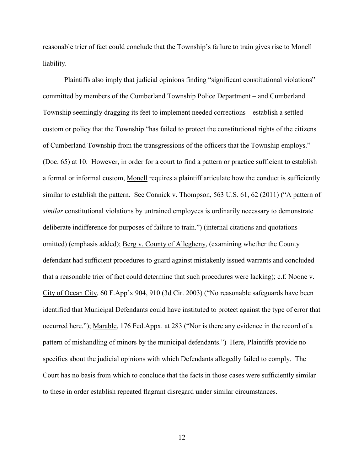reasonable trier of fact could conclude that the Township's failure to train gives rise to Monell liability.

Plaintiffs also imply that judicial opinions finding "significant constitutional violations" committed by members of the Cumberland Township Police Department – and Cumberland Township seemingly dragging its feet to implement needed corrections – establish a settled custom or policy that the Township "has failed to protect the constitutional rights of the citizens of Cumberland Township from the transgressions of the officers that the Township employs." (Doc. 65) at 10. However, in order for a court to find a pattern or practice sufficient to establish a formal or informal custom, Monell requires a plaintiff articulate how the conduct is sufficiently similar to establish the pattern. See Connick v. Thompson, 563 U.S. 61, 62 (2011) ("A pattern of *similar* constitutional violations by untrained employees is ordinarily necessary to demonstrate deliberate indifference for purposes of failure to train.") (internal citations and quotations omitted) (emphasis added); Berg v. County of Allegheny, (examining whether the County defendant had sufficient procedures to guard against mistakenly issued warrants and concluded that a reasonable trier of fact could determine that such procedures were lacking); c.f. Noone v. City of Ocean City, 60 F.App'x 904, 910 (3d Cir. 2003) ("No reasonable safeguards have been identified that Municipal Defendants could have instituted to protect against the type of error that occurred here."); Marable, 176 Fed.Appx. at 283 ("Nor is there any evidence in the record of a pattern of mishandling of minors by the municipal defendants.") Here, Plaintiffs provide no specifics about the judicial opinions with which Defendants allegedly failed to comply. The Court has no basis from which to conclude that the facts in those cases were sufficiently similar to these in order establish repeated flagrant disregard under similar circumstances.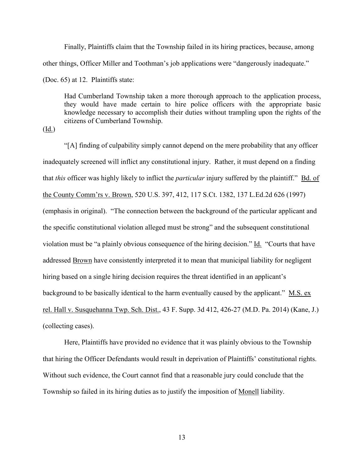Finally, Plaintiffs claim that the Township failed in its hiring practices, because, among other things, Officer Miller and Toothman's job applications were "dangerously inadequate." (Doc. 65) at 12. Plaintiffs state:

Had Cumberland Township taken a more thorough approach to the application process, they would have made certain to hire police officers with the appropriate basic knowledge necessary to accomplish their duties without trampling upon the rights of the citizens of Cumberland Township.

(Id.)

"[A] finding of culpability simply cannot depend on the mere probability that any officer inadequately screened will inflict any constitutional injury. Rather, it must depend on a finding that *this* officer was highly likely to inflict the *particular* injury suffered by the plaintiff." Bd. of the County Comm'rs v. Brown, 520 U.S. 397, 412, 117 S.Ct. 1382, 137 L.Ed.2d 626 (1997) (emphasis in original). "The connection between the background of the particular applicant and the specific constitutional violation alleged must be strong" and the subsequent constitutional violation must be "a plainly obvious consequence of the hiring decision." Id. "Courts that have addressed Brown have consistently interpreted it to mean that municipal liability for negligent hiring based on a single hiring decision requires the threat identified in an applicant's background to be basically identical to the harm eventually caused by the applicant." M.S. ex rel. Hall v. Susquehanna Twp. Sch. Dist., 43 F. Supp. 3d 412, 426-27 (M.D. Pa. 2014) (Kane, J.) (collecting cases).

Here, Plaintiffs have provided no evidence that it was plainly obvious to the Township that hiring the Officer Defendants would result in deprivation of Plaintiffs' constitutional rights. Without such evidence, the Court cannot find that a reasonable jury could conclude that the Township so failed in its hiring duties as to justify the imposition of Monell liability.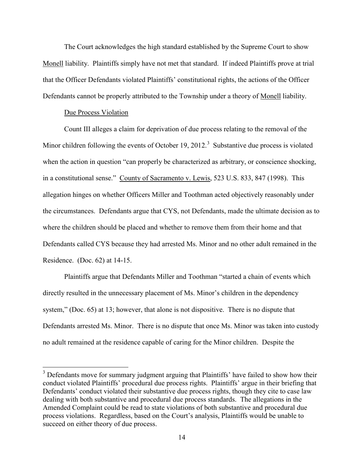The Court acknowledges the high standard established by the Supreme Court to show Monell liability. Plaintiffs simply have not met that standard. If indeed Plaintiffs prove at trial that the Officer Defendants violated Plaintiffs' constitutional rights, the actions of the Officer Defendants cannot be properly attributed to the Township under a theory of Monell liability.

### Due Process Violation

Count III alleges a claim for deprivation of due process relating to the removal of the Minor children following the events of October 19, 2012.<sup>[3](#page-13-0)</sup> Substantive due process is violated when the action in question "can properly be characterized as arbitrary, or conscience shocking, in a constitutional sense." County of Sacramento v. Lewis, 523 U.S. 833, 847 (1998). This allegation hinges on whether Officers Miller and Toothman acted objectively reasonably under the circumstances. Defendants argue that CYS, not Defendants, made the ultimate decision as to where the children should be placed and whether to remove them from their home and that Defendants called CYS because they had arrested Ms. Minor and no other adult remained in the Residence. (Doc. 62) at 14-15.

Plaintiffs argue that Defendants Miller and Toothman "started a chain of events which directly resulted in the unnecessary placement of Ms. Minor's children in the dependency system," (Doc. 65) at 13; however, that alone is not dispositive. There is no dispute that Defendants arrested Ms. Minor. There is no dispute that once Ms. Minor was taken into custody no adult remained at the residence capable of caring for the Minor children. Despite the

<span id="page-13-0"></span><sup>&</sup>lt;sup>3</sup> Defendants move for summary judgment arguing that Plaintiffs' have failed to show how their conduct violated Plaintiffs' procedural due process rights. Plaintiffs' argue in their briefing that Defendants' conduct violated their substantive due process rights, though they cite to case law dealing with both substantive and procedural due process standards. The allegations in the Amended Complaint could be read to state violations of both substantive and procedural due process violations. Regardless, based on the Court's analysis, Plaintiffs would be unable to succeed on either theory of due process.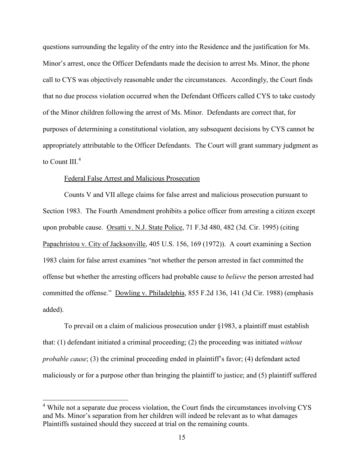questions surrounding the legality of the entry into the Residence and the justification for Ms. Minor's arrest, once the Officer Defendants made the decision to arrest Ms. Minor, the phone call to CYS was objectively reasonable under the circumstances. Accordingly, the Court finds that no due process violation occurred when the Defendant Officers called CYS to take custody of the Minor children following the arrest of Ms. Minor. Defendants are correct that, for purposes of determining a constitutional violation, any subsequent decisions by CYS cannot be appropriately attributable to the Officer Defendants. The Court will grant summary judgment as to Count III. $<sup>4</sup>$  $<sup>4</sup>$  $<sup>4</sup>$ </sup>

#### Federal False Arrest and Malicious Prosecution

 $\overline{a}$ 

Counts V and VII allege claims for false arrest and malicious prosecution pursuant to Section 1983. The Fourth Amendment prohibits a police officer from arresting a citizen except upon probable cause. Orsatti v. N.J. State Police, 71 F.3d 480, 482 (3d. Cir. 1995) (citing Papachristou v. City of Jacksonville, 405 U.S. 156, 169 (1972)). A court examining a Section 1983 claim for false arrest examines "not whether the person arrested in fact committed the offense but whether the arresting officers had probable cause to *believe* the person arrested had committed the offense." Dowling v. Philadelphia, 855 F.2d 136, 141 (3d Cir. 1988) (emphasis added).

To prevail on a claim of malicious prosecution under §1983, a plaintiff must establish that: (1) defendant initiated a criminal proceeding; (2) the proceeding was initiated *without probable cause*; (3) the criminal proceeding ended in plaintiff's favor; (4) defendant acted maliciously or for a purpose other than bringing the plaintiff to justice; and (5) plaintiff suffered

<span id="page-14-0"></span><sup>&</sup>lt;sup>4</sup> While not a separate due process violation, the Court finds the circumstances involving CYS and Ms. Minor's separation from her children will indeed be relevant as to what damages Plaintiffs sustained should they succeed at trial on the remaining counts.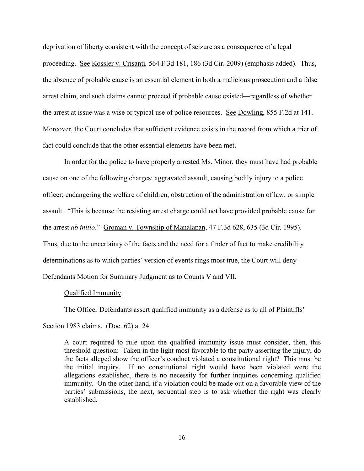deprivation of liberty consistent with the concept of seizure as a consequence of a legal proceeding. See Kossler v. Crisanti*,* 564 F.3d 181, 186 (3d Cir. 2009) (emphasis added). Thus, the absence of probable cause is an essential element in both a malicious prosecution and a false arrest claim, and such claims cannot proceed if probable cause existed—regardless of whether the arrest at issue was a wise or typical use of police resources. See Dowling, 855 F.2d at 141. Moreover, the Court concludes that sufficient evidence exists in the record from which a trier of fact could conclude that the other essential elements have been met.

In order for the police to have properly arrested Ms. Minor, they must have had probable cause on one of the following charges: aggravated assault, causing bodily injury to a police officer; endangering the welfare of children, obstruction of the administration of law, or simple assault. "This is because the resisting arrest charge could not have provided probable cause for the arrest *ab initio*." Groman v. Township of Manalapan, 47 F.3d 628, 635 (3d Cir. 1995). Thus, due to the uncertainty of the facts and the need for a finder of fact to make credibility determinations as to which parties' version of events rings most true, the Court will deny Defendants Motion for Summary Judgment as to Counts V and VII.

### Qualified Immunity

The Officer Defendants assert qualified immunity as a defense as to all of Plaintiffs'

Section 1983 claims. (Doc. 62) at 24.

A court required to rule upon the qualified immunity issue must consider, then, this threshold question: Taken in the light most favorable to the party asserting the injury, do the facts alleged show the officer's conduct violated a constitutional right? This must be the initial inquiry. If no constitutional right would have been violated were the allegations established, there is no necessity for further inquiries concerning qualified immunity. On the other hand, if a violation could be made out on a favorable view of the parties' submissions, the next, sequential step is to ask whether the right was clearly established.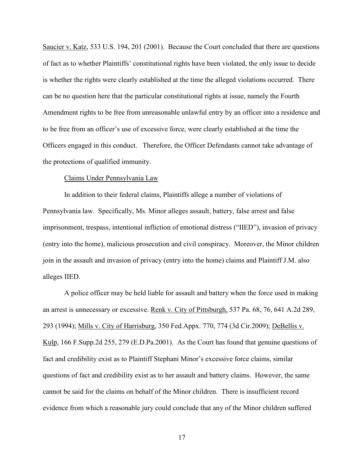Saucier v. Katz, 533 U.S. 194, 201 (2001). Because the Court concluded that there are questions of fact as to whether Plaintiffs' constitutional rights have been violated, the only issue to decide is whether the rights were clearly established at the time the alleged violations occurred. There can be no question here that the particular constitutional rights at issue, namely the Fourth Amendment rights to be free from unreasonable unlawful entry by an officer into a residence and to be free from an officer's use of excessive force, were clearly established at the time the Officers engaged in this conduct. Therefore, the Officer Defendants cannot take advantage of the protections of qualified immunity.

### Claims Under Pennsylvania Law

In addition to their federal claims, Plaintiffs allege a number of violations of Pennsylvania law. Specifically, Ms. Minor alleges assault, battery, false arrest and false imprisonment, trespass, intentional infliction of emotional distress ("IIED"), invasion of privacy (entry into the home), malicious prosecution and civil conspiracy. Moreover, the Minor children join in the assault and invasion of privacy (entry into the home) claims and Plaintiff J.M. also alleges IIED.

A police officer may be held liable for assault and battery when the force used in making an arrest is unnecessary or excessive. Renk v. City of Pittsburgh, 537 Pa. 68, 76, 641 A.2d 289, 293 (1994); Mills v. City of Harrisburg, 350 Fed.Appx. 770, 774 (3d Cir.2009); DeBellis v. Kulp, 166 F.Supp.2d 255, 279 (E.D.Pa.2001). As the Court has found that genuine questions of fact and credibility exist as to Plaintiff Stephani Minor's excessive force claims, similar questions of fact and credibility exist as to her assault and battery claims. However, the same cannot be said for the claims on behalf of the Minor children. There is insufficient record evidence from which a reasonable jury could conclude that any of the Minor children suffered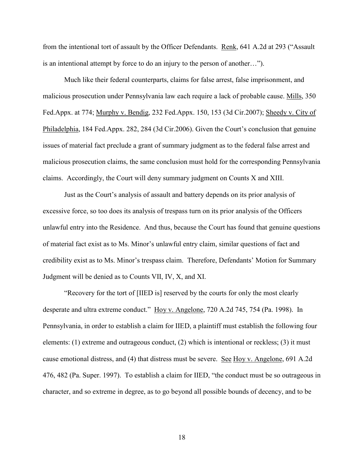from the intentional tort of assault by the Officer Defendants. Renk, 641 A.2d at 293 ("Assault is an intentional attempt by force to do an injury to the person of another…").

Much like their federal counterparts, claims for false arrest, false imprisonment, and malicious prosecution under Pennsylvania law each require a lack of probable cause. Mills, 350 Fed.Appx. at 774; Murphy v. Bendig, 232 Fed.Appx. 150, 153 (3d Cir.2007); Sheedy v. City of Philadelphia, 184 Fed.Appx. 282, 284 (3d Cir.2006). Given the Court's conclusion that genuine issues of material fact preclude a grant of summary judgment as to the federal false arrest and malicious prosecution claims, the same conclusion must hold for the corresponding Pennsylvania claims. Accordingly, the Court will deny summary judgment on Counts X and XIII.

Just as the Court's analysis of assault and battery depends on its prior analysis of excessive force, so too does its analysis of trespass turn on its prior analysis of the Officers unlawful entry into the Residence. And thus, because the Court has found that genuine questions of material fact exist as to Ms. Minor's unlawful entry claim, similar questions of fact and credibility exist as to Ms. Minor's trespass claim. Therefore, Defendants' Motion for Summary Judgment will be denied as to Counts VII, IV, X, and XI.

"Recovery for the tort of [IIED is] reserved by the courts for only the most clearly desperate and ultra extreme conduct." Hoy v. Angelone, 720 A.2d 745, 754 (Pa. 1998). In Pennsylvania, in order to establish a claim for IIED, a plaintiff must establish the following four elements: (1) extreme and outrageous conduct, (2) which is intentional or reckless; (3) it must cause emotional distress, and (4) that distress must be severe. See Hoy v. Angelone, 691 A.2d 476, 482 (Pa. Super. 1997). To establish a claim for IIED, "the conduct must be so outrageous in character, and so extreme in degree, as to go beyond all possible bounds of decency, and to be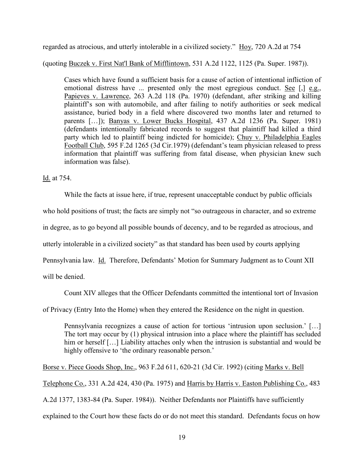regarded as atrocious, and utterly intolerable in a civilized society." Hoy, 720 A.2d at 754

(quoting Buczek v. First Nat'l Bank of Mifflintown, 531 A.2d 1122, 1125 (Pa. Super. 1987)).

Cases which have found a sufficient basis for a cause of action of intentional infliction of emotional distress have ... presented only the most egregious conduct. See [,] e.g., Papieves v. Lawrence, 263 A.2d 118 (Pa. 1970) (defendant, after striking and killing plaintiff's son with automobile, and after failing to notify authorities or seek medical assistance, buried body in a field where discovered two months later and returned to parents […]); Banyas v. Lower Bucks Hospital, 437 A.2d 1236 (Pa. Super. 1981) (defendants intentionally fabricated records to suggest that plaintiff had killed a third party which led to plaintiff being indicted for homicide); [Chuy v. Philadelphia Eagles](https://1.next.westlaw.com/Link/Document/FullText?findType=Y&serNum=1979112434&pubNum=0000350&originatingDoc=I54e9e334589a11e5a807ad48145ed9f1&refType=RP&originationContext=document&transitionType=DocumentItem&contextData=%28sc.Search%29)  [Football Club, 595 F.2d 1265 \(3d Cir.1979\)](https://1.next.westlaw.com/Link/Document/FullText?findType=Y&serNum=1979112434&pubNum=0000350&originatingDoc=I54e9e334589a11e5a807ad48145ed9f1&refType=RP&originationContext=document&transitionType=DocumentItem&contextData=%28sc.Search%29) (defendant's team physician released to press information that plaintiff was suffering from fatal disease, when physician knew such information was false).

Id. at 754.

While the facts at issue here, if true, represent unacceptable conduct by public officials

who hold positions of trust; the facts are simply not "so outrageous in character, and so extreme

in degree, as to go beyond all possible bounds of decency, and to be regarded as atrocious, and

utterly intolerable in a civilized society" as that standard has been used by courts applying

Pennsylvania law. *Id.* Therefore, Defendants' Motion for Summary Judgment as to Count XII

will be denied.

Count XIV alleges that the Officer Defendants committed the intentional tort of Invasion

of Privacy (Entry Into the Home) when they entered the Residence on the night in question.

Pennsylvania recognizes a cause of action for tortious 'intrusion upon seclusion.' […] The tort may occur by (1) physical intrusion into a place where the plaintiff has secluded him or herself [...] Liability attaches only when the intrusion is substantial and would be highly offensive to 'the ordinary reasonable person.'

Borse v. Piece Goods Shop, Inc., 963 F.2d 611, 620-21 (3d Cir. 1992) (citing Marks v. Bell

Telephone Co., 331 A.2d 424, 430 (Pa. 1975) and Harris by Harris v. Easton Publishing Co., 483

A.2d 1377, 1383-84 (Pa. Super. 1984)). Neither Defendants nor Plaintiffs have sufficiently

explained to the Court how these facts do or do not meet this standard. Defendants focus on how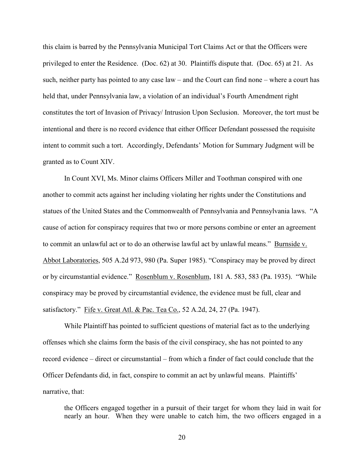this claim is barred by the Pennsylvania Municipal Tort Claims Act or that the Officers were privileged to enter the Residence. (Doc. 62) at 30. Plaintiffs dispute that. (Doc. 65) at 21. As such, neither party has pointed to any case law – and the Court can find none – where a court has held that, under Pennsylvania law, a violation of an individual's Fourth Amendment right constitutes the tort of Invasion of Privacy/ Intrusion Upon Seclusion. Moreover, the tort must be intentional and there is no record evidence that either Officer Defendant possessed the requisite intent to commit such a tort. Accordingly, Defendants' Motion for Summary Judgment will be granted as to Count XIV.

In Count XVI, Ms. Minor claims Officers Miller and Toothman conspired with one another to commit acts against her including violating her rights under the Constitutions and statues of the United States and the Commonwealth of Pennsylvania and Pennsylvania laws. "A cause of action for conspiracy requires that two or more persons combine or enter an agreement to commit an unlawful act or to do an otherwise lawful act by unlawful means." Burnside v. Abbot Laboratories, 505 A.2d 973, 980 (Pa. Super 1985). "Conspiracy may be proved by direct or by circumstantial evidence." Rosenblum v. Rosenblum, 181 A. 583, 583 (Pa. 1935). "While conspiracy may be proved by circumstantial evidence, the evidence must be full, clear and satisfactory." Fife v. Great Atl. & Pac. Tea Co., 52 A.2d, 24, 27 (Pa. 1947).

While Plaintiff has pointed to sufficient questions of material fact as to the underlying offenses which she claims form the basis of the civil conspiracy, she has not pointed to any record evidence – direct or circumstantial – from which a finder of fact could conclude that the Officer Defendants did, in fact, conspire to commit an act by unlawful means. Plaintiffs' narrative, that:

the Officers engaged together in a pursuit of their target for whom they laid in wait for nearly an hour. When they were unable to catch him, the two officers engaged in a